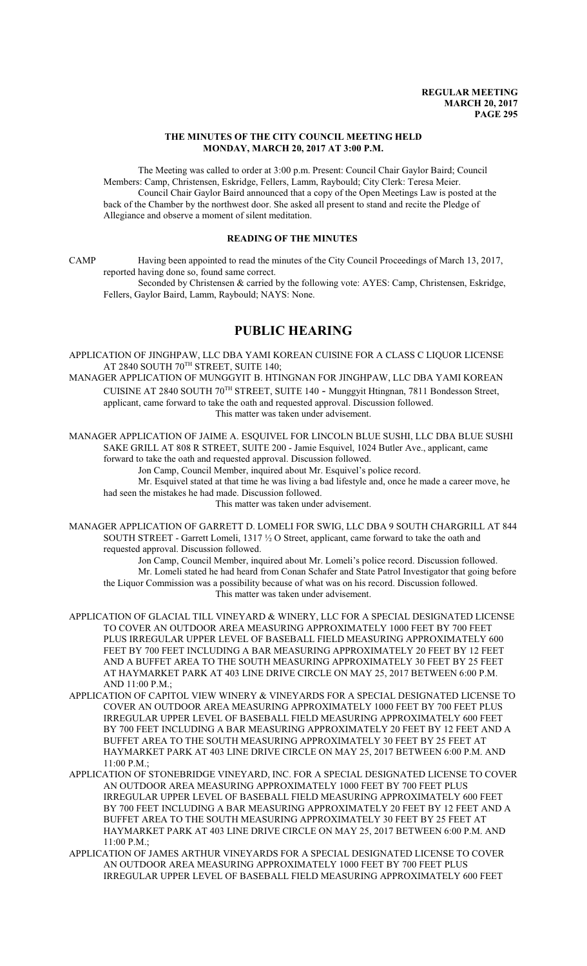## **THE MINUTES OF THE CITY COUNCIL MEETING HELD MONDAY, MARCH 20, 2017 AT 3:00 P.M.**

The Meeting was called to order at 3:00 p.m. Present: Council Chair Gaylor Baird; Council Members: Camp, Christensen, Eskridge, Fellers, Lamm, Raybould; City Clerk: Teresa Meier. Council Chair Gaylor Baird announced that a copy of the Open Meetings Law is posted at the back of the Chamber by the northwest door. She asked all present to stand and recite the Pledge of Allegiance and observe a moment of silent meditation.

# **READING OF THE MINUTES**

CAMP Having been appointed to read the minutes of the City Council Proceedings of March 13, 2017, reported having done so, found same correct.

Seconded by Christensen & carried by the following vote: AYES: Camp, Christensen, Eskridge, Fellers, Gaylor Baird, Lamm, Raybould; NAYS: None.

# **PUBLIC HEARING**

APPLICATION OF JINGHPAW, LLC DBA YAMI KOREAN CUISINE FOR A CLASS C LIQUOR LICENSE AT 2840 SOUTH  $70^{\texttt{TH}}$  STREET, SUITE 140;

MANAGER APPLICATION OF MUNGGYIT B. HTINGNAN FOR JINGHPAW, LLC DBA YAMI KOREAN CUISINE AT 2840 SOUTH 70<sup>TH</sup> STREET, SUITE 140 - Munggyit Htingnan, 7811 Bondesson Street, applicant, came forward to take the oath and requested approval. Discussion followed. This matter was taken under advisement.

MANAGER APPLICATION OF JAIME A. ESQUIVEL FOR LINCOLN BLUE SUSHI, LLC DBA BLUE SUSHI SAKE GRILL AT 808 R STREET, SUITE 200 - Jamie Esquivel, 1024 Butler Ave., applicant, came forward to take the oath and requested approval. Discussion followed. Jon Camp, Council Member, inquired about Mr. Esquivel's police record.

Mr. Esquivel stated at that time he was living a bad lifestyle and, once he made a career move, he had seen the mistakes he had made. Discussion followed.

This matter was taken under advisement.

MANAGER APPLICATION OF GARRETT D. LOMELI FOR SWIG, LLC DBA 9 SOUTH CHARGRILL AT 844 SOUTH STREET - Garrett Lomeli, 1317 ½ O Street, applicant, came forward to take the oath and requested approval. Discussion followed.

Jon Camp, Council Member, inquired about Mr. Lomeli's police record. Discussion followed. Mr. Lomeli stated he had heard from Conan Schafer and State Patrol Investigator that going before the Liquor Commission was a possibility because of what was on his record. Discussion followed. This matter was taken under advisement.

- APPLICATION OF GLACIAL TILL VINEYARD & WINERY, LLC FOR A SPECIAL DESIGNATED LICENSE TO COVER AN OUTDOOR AREA MEASURING APPROXIMATELY 1000 FEET BY 700 FEET PLUS IRREGULAR UPPER LEVEL OF BASEBALL FIELD MEASURING APPROXIMATELY 600 FEET BY 700 FEET INCLUDING A BAR MEASURING APPROXIMATELY 20 FEET BY 12 FEET AND A BUFFET AREA TO THE SOUTH MEASURING APPROXIMATELY 30 FEET BY 25 FEET AT HAYMARKET PARK AT 403 LINE DRIVE CIRCLE ON MAY 25, 2017 BETWEEN 6:00 P.M. AND 11:00 P.M.;
- APPLICATION OF CAPITOL VIEW WINERY & VINEYARDS FOR A SPECIAL DESIGNATED LICENSE TO COVER AN OUTDOOR AREA MEASURING APPROXIMATELY 1000 FEET BY 700 FEET PLUS IRREGULAR UPPER LEVEL OF BASEBALL FIELD MEASURING APPROXIMATELY 600 FEET BY 700 FEET INCLUDING A BAR MEASURING APPROXIMATELY 20 FEET BY 12 FEET AND A BUFFET AREA TO THE SOUTH MEASURING APPROXIMATELY 30 FEET BY 25 FEET AT HAYMARKET PARK AT 403 LINE DRIVE CIRCLE ON MAY 25, 2017 BETWEEN 6:00 P.M. AND 11:00 P.M.;
- APPLICATION OF STONEBRIDGE VINEYARD, INC. FOR A SPECIAL DESIGNATED LICENSE TO COVER AN OUTDOOR AREA MEASURING APPROXIMATELY 1000 FEET BY 700 FEET PLUS IRREGULAR UPPER LEVEL OF BASEBALL FIELD MEASURING APPROXIMATELY 600 FEET BY 700 FEET INCLUDING A BAR MEASURING APPROXIMATELY 20 FEET BY 12 FEET AND A BUFFET AREA TO THE SOUTH MEASURING APPROXIMATELY 30 FEET BY 25 FEET AT HAYMARKET PARK AT 403 LINE DRIVE CIRCLE ON MAY 25, 2017 BETWEEN 6:00 P.M. AND  $11:00 P M$ .
- APPLICATION OF JAMES ARTHUR VINEYARDS FOR A SPECIAL DESIGNATED LICENSE TO COVER AN OUTDOOR AREA MEASURING APPROXIMATELY 1000 FEET BY 700 FEET PLUS IRREGULAR UPPER LEVEL OF BASEBALL FIELD MEASURING APPROXIMATELY 600 FEET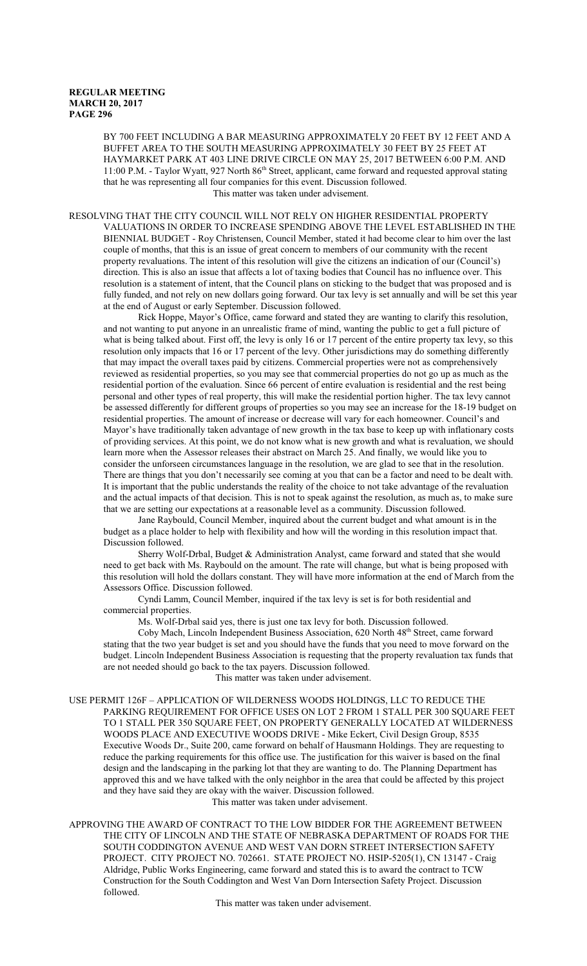BY 700 FEET INCLUDING A BAR MEASURING APPROXIMATELY 20 FEET BY 12 FEET AND A BUFFET AREA TO THE SOUTH MEASURING APPROXIMATELY 30 FEET BY 25 FEET AT HAYMARKET PARK AT 403 LINE DRIVE CIRCLE ON MAY 25, 2017 BETWEEN 6:00 P.M. AND 11:00 P.M. - Taylor Wyatt, 927 North 86<sup>th</sup> Street, applicant, came forward and requested approval stating that he was representing all four companies for this event. Discussion followed.

This matter was taken under advisement.

RESOLVING THAT THE CITY COUNCIL WILL NOT RELY ON HIGHER RESIDENTIAL PROPERTY VALUATIONS IN ORDER TO INCREASE SPENDING ABOVE THE LEVEL ESTABLISHED IN THE BIENNIAL BUDGET - Roy Christensen, Council Member, stated it had become clear to him over the last couple of months, that this is an issue of great concern to members of our community with the recent property revaluations. The intent of this resolution will give the citizens an indication of our (Council's) direction. This is also an issue that affects a lot of taxing bodies that Council has no influence over. This resolution is a statement of intent, that the Council plans on sticking to the budget that was proposed and is fully funded, and not rely on new dollars going forward. Our tax levy is set annually and will be set this year at the end of August or early September. Discussion followed.

Rick Hoppe, Mayor's Office, came forward and stated they are wanting to clarify this resolution, and not wanting to put anyone in an unrealistic frame of mind, wanting the public to get a full picture of what is being talked about. First off, the levy is only 16 or 17 percent of the entire property tax levy, so this resolution only impacts that 16 or 17 percent of the levy. Other jurisdictions may do something differently that may impact the overall taxes paid by citizens. Commercial properties were not as comprehensively reviewed as residential properties, so you may see that commercial properties do not go up as much as the residential portion of the evaluation. Since 66 percent of entire evaluation is residential and the rest being personal and other types of real property, this will make the residential portion higher. The tax levy cannot be assessed differently for different groups of properties so you may see an increase for the 18-19 budget on residential properties. The amount of increase or decrease will vary for each homeowner. Council's and Mayor's have traditionally taken advantage of new growth in the tax base to keep up with inflationary costs of providing services. At this point, we do not know what is new growth and what is revaluation, we should learn more when the Assessor releases their abstract on March 25. And finally, we would like you to consider the unforseen circumstances language in the resolution, we are glad to see that in the resolution. There are things that you don't necessarily see coming at you that can be a factor and need to be dealt with. It is important that the public understands the reality of the choice to not take advantage of the revaluation and the actual impacts of that decision. This is not to speak against the resolution, as much as, to make sure that we are setting our expectations at a reasonable level as a community. Discussion followed.

Jane Raybould, Council Member, inquired about the current budget and what amount is in the budget as a place holder to help with flexibility and how will the wording in this resolution impact that. Discussion followed.

Sherry Wolf-Drbal, Budget & Administration Analyst, came forward and stated that she would need to get back with Ms. Raybould on the amount. The rate will change, but what is being proposed with this resolution will hold the dollars constant. They will have more information at the end of March from the Assessors Office. Discussion followed.

Cyndi Lamm, Council Member, inquired if the tax levy is set is for both residential and commercial properties.

Ms. Wolf-Drbal said yes, there is just one tax levy for both. Discussion followed.

Coby Mach, Lincoln Independent Business Association, 620 North 48<sup>th</sup> Street, came forward stating that the two year budget is set and you should have the funds that you need to move forward on the budget. Lincoln Independent Business Association is requesting that the property revaluation tax funds that are not needed should go back to the tax payers. Discussion followed.

This matter was taken under advisement.

USE PERMIT 126F – APPLICATION OF WILDERNESS WOODS HOLDINGS, LLC TO REDUCE THE PARKING REQUIREMENT FOR OFFICE USES ON LOT 2 FROM 1 STALL PER 300 SQUARE FEET TO 1 STALL PER 350 SQUARE FEET, ON PROPERTY GENERALLY LOCATED AT WILDERNESS WOODS PLACE AND EXECUTIVE WOODS DRIVE - Mike Eckert, Civil Design Group, 8535 Executive Woods Dr., Suite 200, came forward on behalf of Hausmann Holdings. They are requesting to reduce the parking requirements for this office use. The justification for this waiver is based on the final design and the landscaping in the parking lot that they are wanting to do. The Planning Department has approved this and we have talked with the only neighbor in the area that could be affected by this project and they have said they are okay with the waiver. Discussion followed.

This matter was taken under advisement.

APPROVING THE AWARD OF CONTRACT TO THE LOW BIDDER FOR THE AGREEMENT BETWEEN THE CITY OF LINCOLN AND THE STATE OF NEBRASKA DEPARTMENT OF ROADS FOR THE SOUTH CODDINGTON AVENUE AND WEST VAN DORN STREET INTERSECTION SAFETY PROJECT. CITY PROJECT NO. 702661. STATE PROJECT NO. HSIP-5205(1), CN 13147 - Craig Aldridge, Public Works Engineering, came forward and stated this is to award the contract to TCW Construction for the South Coddington and West Van Dorn Intersection Safety Project. Discussion followed.

This matter was taken under advisement.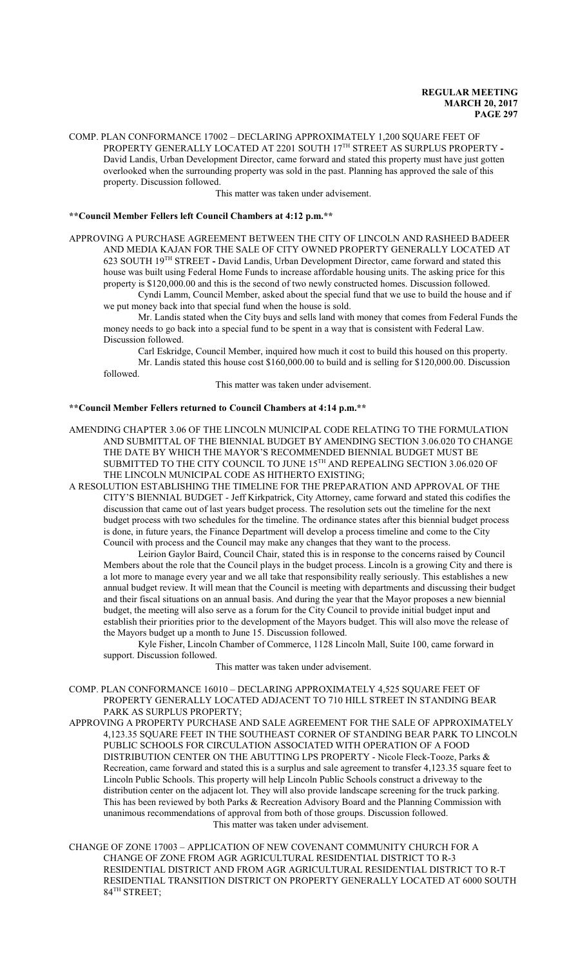COMP. PLAN CONFORMANCE 17002 – DECLARING APPROXIMATELY 1,200 SQUARE FEET OF PROPERTY GENERALLY LOCATED AT 2201 SOUTH 17 TH STREET AS SURPLUS PROPERTY **-** David Landis, Urban Development Director, came forward and stated this property must have just gotten overlooked when the surrounding property was sold in the past. Planning has approved the sale of this property. Discussion followed.

This matter was taken under advisement.

#### **\*\*Council Member Fellers left Council Chambers at 4:12 p.m.\*\***

APPROVING A PURCHASE AGREEMENT BETWEEN THE CITY OF LINCOLN AND RASHEED BADEER AND MEDIA KAJAN FOR THE SALE OF CITY OWNED PROPERTY GENERALLY LOCATED AT 623 SOUTH 19 TH STREET **-** David Landis, Urban Development Director, came forward and stated this house was built using Federal Home Funds to increase affordable housing units. The asking price for this property is \$120,000.00 and this is the second of two newly constructed homes. Discussion followed.

Cyndi Lamm, Council Member, asked about the special fund that we use to build the house and if we put money back into that special fund when the house is sold.

Mr. Landis stated when the City buys and sells land with money that comes from Federal Funds the money needs to go back into a special fund to be spent in a way that is consistent with Federal Law. Discussion followed.

Carl Eskridge, Council Member, inquired how much it cost to build this housed on this property. Mr. Landis stated this house cost \$160,000.00 to build and is selling for \$120,000.00. Discussion followed.

This matter was taken under advisement.

#### **\*\*Council Member Fellers returned to Council Chambers at 4:14 p.m.\*\***

- AMENDING CHAPTER 3.06 OF THE LINCOLN MUNICIPAL CODE RELATING TO THE FORMULATION AND SUBMITTAL OF THE BIENNIAL BUDGET BY AMENDING SECTION 3.06.020 TO CHANGE THE DATE BY WHICH THE MAYOR'S RECOMMENDED BIENNIAL BUDGET MUST BE SUBMITTED TO THE CITY COUNCIL TO JUNE  $15^{\text{\tiny{TH}}}$  AND REPEALING SECTION 3.06.020 OF THE LINCOLN MUNICIPAL CODE AS HITHERTO EXISTING;
- A RESOLUTION ESTABLISHING THE TIMELINE FOR THE PREPARATION AND APPROVAL OF THE CITY'S BIENNIAL BUDGET - Jeff Kirkpatrick, City Attorney, came forward and stated this codifies the discussion that came out of last years budget process. The resolution sets out the timeline for the next budget process with two schedules for the timeline. The ordinance states after this biennial budget process is done, in future years, the Finance Department will develop a process timeline and come to the City Council with process and the Council may make any changes that they want to the process.

Leirion Gaylor Baird, Council Chair, stated this is in response to the concerns raised by Council Members about the role that the Council plays in the budget process. Lincoln is a growing City and there is a lot more to manage every year and we all take that responsibility really seriously. This establishes a new annual budget review. It will mean that the Council is meeting with departments and discussing their budget and their fiscal situations on an annual basis. And during the year that the Mayor proposes a new biennial budget, the meeting will also serve as a forum for the City Council to provide initial budget input and establish their priorities prior to the development of the Mayors budget. This will also move the release of the Mayors budget up a month to June 15. Discussion followed.

Kyle Fisher, Lincoln Chamber of Commerce, 1128 Lincoln Mall, Suite 100, came forward in support. Discussion followed.

This matter was taken under advisement.

COMP. PLAN CONFORMANCE 16010 – DECLARING APPROXIMATELY 4,525 SQUARE FEET OF PROPERTY GENERALLY LOCATED ADJACENT TO 710 HILL STREET IN STANDING BEAR PARK AS SURPLUS PROPERTY;

APPROVING A PROPERTY PURCHASE AND SALE AGREEMENT FOR THE SALE OF APPROXIMATELY 4,123.35 SQUARE FEET IN THE SOUTHEAST CORNER OF STANDING BEAR PARK TO LINCOLN PUBLIC SCHOOLS FOR CIRCULATION ASSOCIATED WITH OPERATION OF A FOOD DISTRIBUTION CENTER ON THE ABUTTING LPS PROPERTY - Nicole Fleck-Tooze, Parks & Recreation, came forward and stated this is a surplus and sale agreement to transfer 4,123.35 square feet to Lincoln Public Schools. This property will help Lincoln Public Schools construct a driveway to the distribution center on the adjacent lot. They will also provide landscape screening for the truck parking. This has been reviewed by both Parks & Recreation Advisory Board and the Planning Commission with unanimous recommendations of approval from both of those groups. Discussion followed. This matter was taken under advisement.

CHANGE OF ZONE 17003 – APPLICATION OF NEW COVENANT COMMUNITY CHURCH FOR A CHANGE OF ZONE FROM AGR AGRICULTURAL RESIDENTIAL DISTRICT TO R-3 RESIDENTIAL DISTRICT AND FROM AGR AGRICULTURAL RESIDENTIAL DISTRICT TO R-T RESIDENTIAL TRANSITION DISTRICT ON PROPERTY GENERALLY LOCATED AT 6000 SOUTH 84 TH STREET;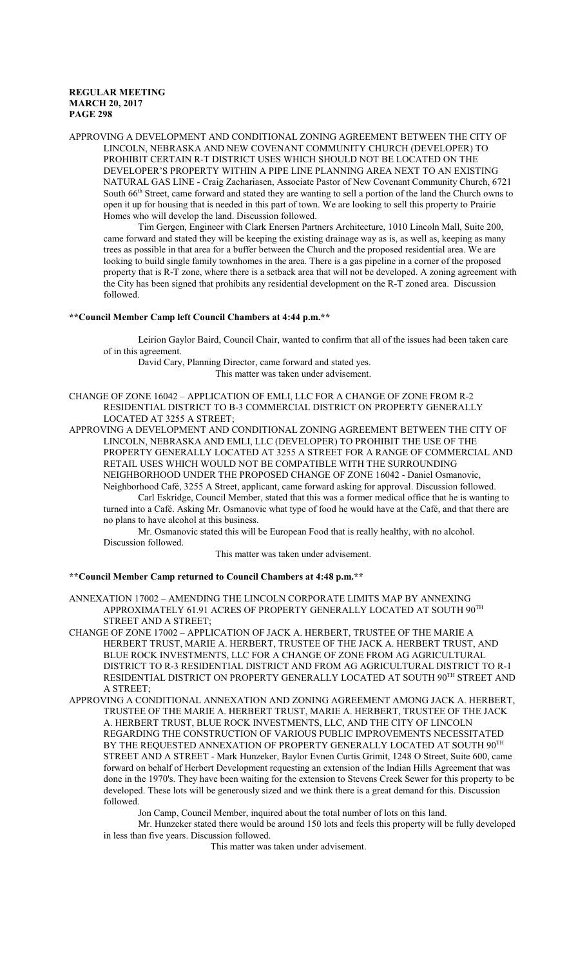APPROVING A DEVELOPMENT AND CONDITIONAL ZONING AGREEMENT BETWEEN THE CITY OF LINCOLN, NEBRASKA AND NEW COVENANT COMMUNITY CHURCH (DEVELOPER) TO PROHIBIT CERTAIN R-T DISTRICT USES WHICH SHOULD NOT BE LOCATED ON THE DEVELOPER'S PROPERTY WITHIN A PIPE LINE PLANNING AREA NEXT TO AN EXISTING NATURAL GAS LINE - Craig Zachariasen, Associate Pastor of New Covenant Community Church, 6721 South 66<sup>th</sup> Street, came forward and stated they are wanting to sell a portion of the land the Church owns to open it up for housing that is needed in this part of town. We are looking to sell this property to Prairie Homes who will develop the land. Discussion followed.

Tim Gergen, Engineer with Clark Enersen Partners Architecture, 1010 Lincoln Mall, Suite 200, came forward and stated they will be keeping the existing drainage way as is, as well as, keeping as many trees as possible in that area for a buffer between the Church and the proposed residential area. We are looking to build single family townhomes in the area. There is a gas pipeline in a corner of the proposed property that is R-T zone, where there is a setback area that will not be developed. A zoning agreement with the City has been signed that prohibits any residential development on the R-T zoned area. Discussion followed.

# **\*\*Council Member Camp left Council Chambers at 4:44 p.m.\*\***

Leirion Gaylor Baird, Council Chair, wanted to confirm that all of the issues had been taken care of in this agreement.

David Cary, Planning Director, came forward and stated yes.

This matter was taken under advisement.

CHANGE OF ZONE 16042 – APPLICATION OF EMLI, LLC FOR A CHANGE OF ZONE FROM R-2 RESIDENTIAL DISTRICT TO B-3 COMMERCIAL DISTRICT ON PROPERTY GENERALLY LOCATED AT 3255 A STREET;

APPROVING A DEVELOPMENT AND CONDITIONAL ZONING AGREEMENT BETWEEN THE CITY OF LINCOLN, NEBRASKA AND EMLI, LLC (DEVELOPER) TO PROHIBIT THE USE OF THE PROPERTY GENERALLY LOCATED AT 3255 A STREET FOR A RANGE OF COMMERCIAL AND RETAIL USES WHICH WOULD NOT BE COMPATIBLE WITH THE SURROUNDING NEIGHBORHOOD UNDER THE PROPOSED CHANGE OF ZONE 16042 - Daniel Osmanovic,

Neighborhood Café, 3255 A Street, applicant, came forward asking for approval. Discussion followed. Carl Eskridge, Council Member, stated that this was a former medical office that he is wanting to turned into a Café. Asking Mr. Osmanovic what type of food he would have at the Café, and that there are no plans to have alcohol at this business.

Mr. Osmanovic stated this will be European Food that is really healthy, with no alcohol. Discussion followed.

This matter was taken under advisement.

#### **\*\*Council Member Camp returned to Council Chambers at 4:48 p.m.\*\***

ANNEXATION 17002 – AMENDING THE LINCOLN CORPORATE LIMITS MAP BY ANNEXING APPROXIMATELY 61.91 ACRES OF PROPERTY GENERALLY LOCATED AT SOUTH  $90^{\mathrm{TH}}$ STREET AND A STREET;

CHANGE OF ZONE 17002 – APPLICATION OF JACK A. HERBERT, TRUSTEE OF THE MARIE A HERBERT TRUST, MARIE A. HERBERT, TRUSTEE OF THE JACK A. HERBERT TRUST, AND BLUE ROCK INVESTMENTS, LLC FOR A CHANGE OF ZONE FROM AG AGRICULTURAL DISTRICT TO R-3 RESIDENTIAL DISTRICT AND FROM AG AGRICULTURAL DISTRICT TO R-1 RESIDENTIAL DISTRICT ON PROPERTY GENERALLY LOCATED AT SOUTH 90<sup>th</sup> STREET AND A STREET;

APPROVING A CONDITIONAL ANNEXATION AND ZONING AGREEMENT AMONG JACK A. HERBERT, TRUSTEE OF THE MARIE A. HERBERT TRUST, MARIE A. HERBERT, TRUSTEE OF THE JACK A. HERBERT TRUST, BLUE ROCK INVESTMENTS, LLC, AND THE CITY OF LINCOLN REGARDING THE CONSTRUCTION OF VARIOUS PUBLIC IMPROVEMENTS NECESSITATED BY THE REQUESTED ANNEXATION OF PROPERTY GENERALLY LOCATED AT SOUTH  $90^{\mathrm{TH}}$ STREET AND A STREET - Mark Hunzeker, Baylor Evnen Curtis Grimit, 1248 O Street, Suite 600, came forward on behalf of Herbert Development requesting an extension of the Indian Hills Agreement that was done in the 1970's. They have been waiting for the extension to Stevens Creek Sewer for this property to be developed. These lots will be generously sized and we think there is a great demand for this. Discussion followed.

Jon Camp, Council Member, inquired about the total number of lots on this land.

Mr. Hunzeker stated there would be around 150 lots and feels this property will be fully developed in less than five years. Discussion followed.

This matter was taken under advisement.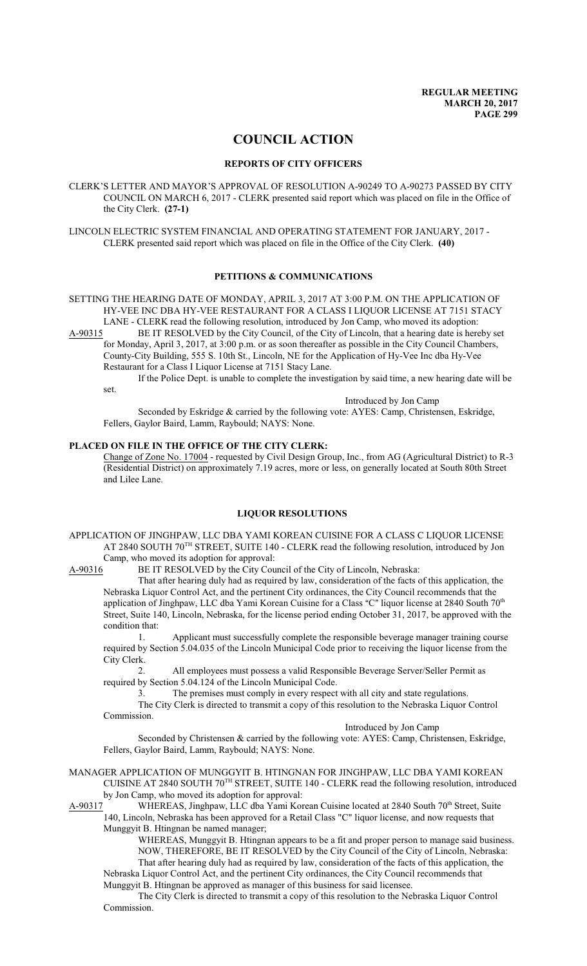# **COUNCIL ACTION**

#### **REPORTS OF CITY OFFICERS**

CLERK'S LETTER AND MAYOR'S APPROVAL OF RESOLUTION A-90249 TO A-90273 PASSED BY CITY COUNCIL ON MARCH 6, 2017 - CLERK presented said report which was placed on file in the Office of the City Clerk. **(27-1)**

LINCOLN ELECTRIC SYSTEM FINANCIAL AND OPERATING STATEMENT FOR JANUARY, 2017 - CLERK presented said report which was placed on file in the Office of the City Clerk. **(40)**

#### **PETITIONS & COMMUNICATIONS**

SETTING THE HEARING DATE OF MONDAY, APRIL 3, 2017 AT 3:00 P.M. ON THE APPLICATION OF HY-VEE INC DBA HY-VEE RESTAURANT FOR A CLASS I LIQUOR LICENSE AT 7151 STACY

LANE - CLERK read the following resolution, introduced by Jon Camp, who moved its adoption:<br>A-90315 BE IT RESOLVED by the City Council, of the City of Lincoln, that a hearing date is here BE IT RESOLVED by the City Council, of the City of Lincoln, that a hearing date is hereby set for Monday, April 3, 2017, at 3:00 p.m. or as soon thereafter as possible in the City Council Chambers, County-City Building, 555 S. 10th St., Lincoln, NE for the Application of Hy-Vee Inc dba Hy-Vee Restaurant for a Class I Liquor License at 7151 Stacy Lane.

If the Police Dept. is unable to complete the investigation by said time, a new hearing date will be set.

Introduced by Jon Camp

Seconded by Eskridge & carried by the following vote: AYES: Camp, Christensen, Eskridge, Fellers, Gaylor Baird, Lamm, Raybould; NAYS: None.

## **PLACED ON FILE IN THE OFFICE OF THE CITY CLERK:**

Change of Zone No. 17004 - requested by Civil Design Group, Inc., from AG (Agricultural District) to R-3 (Residential District) on approximately 7.19 acres, more or less, on generally located at South 80th Street and Lilee Lane.

# **LIQUOR RESOLUTIONS**

APPLICATION OF JINGHPAW, LLC DBA YAMI KOREAN CUISINE FOR A CLASS C LIQUOR LICENSE AT 2840 SOUTH 70<sup>TH</sup> STREET, SUITE 140 - CLERK read the following resolution, introduced by Jon Camp, who moved its adoption for approval:

A-90316 BE IT RESOLVED by the City Council of the City of Lincoln, Nebraska:

That after hearing duly had as required by law, consideration of the facts of this application, the Nebraska Liquor Control Act, and the pertinent City ordinances, the City Council recommends that the application of Jinghpaw, LLC dba Yami Korean Cuisine for a Class "C" liquor license at 2840 South 70<sup>th</sup> Street, Suite 140, Lincoln, Nebraska, for the license period ending October 31, 2017, be approved with the condition that:

1. Applicant must successfully complete the responsible beverage manager training course required by Section 5.04.035 of the Lincoln Municipal Code prior to receiving the liquor license from the City Clerk.

2. All employees must possess a valid Responsible Beverage Server/Seller Permit as required by Section 5.04.124 of the Lincoln Municipal Code.

3. The premises must comply in every respect with all city and state regulations.

The City Clerk is directed to transmit a copy of this resolution to the Nebraska Liquor Control Commission.

Introduced by Jon Camp

Seconded by Christensen & carried by the following vote: AYES: Camp, Christensen, Eskridge, Fellers, Gaylor Baird, Lamm, Raybould; NAYS: None.

MANAGER APPLICATION OF MUNGGYIT B. HTINGNAN FOR JINGHPAW, LLC DBA YAMI KOREAN CUISINE AT 2840 SOUTH 70<sup>TH</sup> STREET, SUITE 140 - CLERK read the following resolution, introduced by Jon Camp, who moved its adoption for approval:<br>A-90317 WHEREAS, Jinghpaw, LLC dba Yami Kor

A-90317 WHEREAS, Jinghpaw, LLC dba Yami Korean Cuisine located at 2840 South 70<sup>th</sup> Street, Suite 140, Lincoln, Nebraska has been approved for a Retail Class "C" liquor license, and now requests that

Munggyit B. Htingnan be named manager;

WHEREAS, Munggyit B. Htingnan appears to be a fit and proper person to manage said business. NOW, THEREFORE, BE IT RESOLVED by the City Council of the City of Lincoln, Nebraska: That after hearing duly had as required by law, consideration of the facts of this application, the Nebraska Liquor Control Act, and the pertinent City ordinances, the City Council recommends that Munggyit B. Htingnan be approved as manager of this business for said licensee.

The City Clerk is directed to transmit a copy of this resolution to the Nebraska Liquor Control Commission.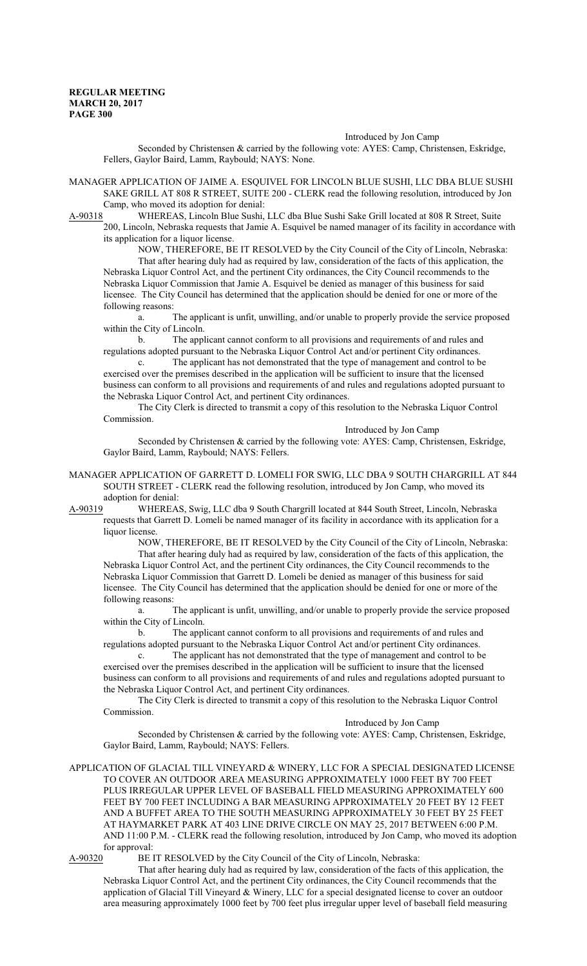Introduced by Jon Camp

Seconded by Christensen & carried by the following vote: AYES: Camp, Christensen, Eskridge, Fellers, Gaylor Baird, Lamm, Raybould; NAYS: None.

MANAGER APPLICATION OF JAIME A. ESQUIVEL FOR LINCOLN BLUE SUSHI, LLC DBA BLUE SUSHI SAKE GRILL AT 808 R STREET, SUITE 200 - CLERK read the following resolution, introduced by Jon Camp, who moved its adoption for denial:

A-90318 WHEREAS, Lincoln Blue Sushi, LLC dba Blue Sushi Sake Grill located at 808 R Street, Suite 200, Lincoln, Nebraska requests that Jamie A. Esquivel be named manager of its facility in accordance with its application for a liquor license.

NOW, THEREFORE, BE IT RESOLVED by the City Council of the City of Lincoln, Nebraska: That after hearing duly had as required by law, consideration of the facts of this application, the Nebraska Liquor Control Act, and the pertinent City ordinances, the City Council recommends to the Nebraska Liquor Commission that Jamie A. Esquivel be denied as manager of this business for said licensee. The City Council has determined that the application should be denied for one or more of the following reasons:

a. The applicant is unfit, unwilling, and/or unable to properly provide the service proposed within the City of Lincoln.

b. The applicant cannot conform to all provisions and requirements of and rules and regulations adopted pursuant to the Nebraska Liquor Control Act and/or pertinent City ordinances.

c. The applicant has not demonstrated that the type of management and control to be exercised over the premises described in the application will be sufficient to insure that the licensed business can conform to all provisions and requirements of and rules and regulations adopted pursuant to the Nebraska Liquor Control Act, and pertinent City ordinances.

The City Clerk is directed to transmit a copy of this resolution to the Nebraska Liquor Control Commission.

Introduced by Jon Camp

Seconded by Christensen & carried by the following vote: AYES: Camp, Christensen, Eskridge, Gaylor Baird, Lamm, Raybould; NAYS: Fellers.

MANAGER APPLICATION OF GARRETT D. LOMELI FOR SWIG, LLC DBA 9 SOUTH CHARGRILL AT 844 SOUTH STREET - CLERK read the following resolution, introduced by Jon Camp, who moved its adoption for denial:

A-90319 WHEREAS, Swig, LLC dba 9 South Chargrill located at 844 South Street, Lincoln, Nebraska requests that Garrett D. Lomeli be named manager of its facility in accordance with its application for a liquor license.

NOW, THEREFORE, BE IT RESOLVED by the City Council of the City of Lincoln, Nebraska: That after hearing duly had as required by law, consideration of the facts of this application, the Nebraska Liquor Control Act, and the pertinent City ordinances, the City Council recommends to the Nebraska Liquor Commission that Garrett D. Lomeli be denied as manager of this business for said licensee. The City Council has determined that the application should be denied for one or more of the following reasons:

a. The applicant is unfit, unwilling, and/or unable to properly provide the service proposed within the City of Lincoln.

b. The applicant cannot conform to all provisions and requirements of and rules and regulations adopted pursuant to the Nebraska Liquor Control Act and/or pertinent City ordinances.

c. The applicant has not demonstrated that the type of management and control to be exercised over the premises described in the application will be sufficient to insure that the licensed business can conform to all provisions and requirements of and rules and regulations adopted pursuant to the Nebraska Liquor Control Act, and pertinent City ordinances.

The City Clerk is directed to transmit a copy of this resolution to the Nebraska Liquor Control Commission.

Introduced by Jon Camp

Seconded by Christensen & carried by the following vote: AYES: Camp, Christensen, Eskridge, Gaylor Baird, Lamm, Raybould; NAYS: Fellers.

APPLICATION OF GLACIAL TILL VINEYARD & WINERY, LLC FOR A SPECIAL DESIGNATED LICENSE TO COVER AN OUTDOOR AREA MEASURING APPROXIMATELY 1000 FEET BY 700 FEET PLUS IRREGULAR UPPER LEVEL OF BASEBALL FIELD MEASURING APPROXIMATELY 600 FEET BY 700 FEET INCLUDING A BAR MEASURING APPROXIMATELY 20 FEET BY 12 FEET AND A BUFFET AREA TO THE SOUTH MEASURING APPROXIMATELY 30 FEET BY 25 FEET AT HAYMARKET PARK AT 403 LINE DRIVE CIRCLE ON MAY 25, 2017 BETWEEN 6:00 P.M. AND 11:00 P.M. - CLERK read the following resolution, introduced by Jon Camp, who moved its adoption for approval:

A-90320 BE IT RESOLVED by the City Council of the City of Lincoln, Nebraska:

That after hearing duly had as required by law, consideration of the facts of this application, the Nebraska Liquor Control Act, and the pertinent City ordinances, the City Council recommends that the application of Glacial Till Vineyard & Winery, LLC for a special designated license to cover an outdoor area measuring approximately 1000 feet by 700 feet plus irregular upper level of baseball field measuring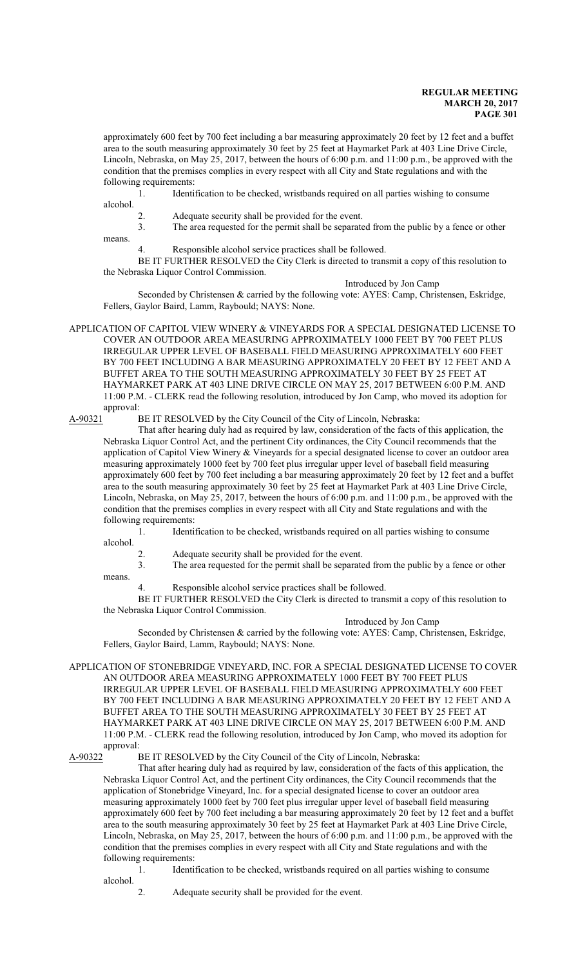approximately 600 feet by 700 feet including a bar measuring approximately 20 feet by 12 feet and a buffet area to the south measuring approximately 30 feet by 25 feet at Haymarket Park at 403 Line Drive Circle, Lincoln, Nebraska, on May 25, 2017, between the hours of 6:00 p.m. and 11:00 p.m., be approved with the condition that the premises complies in every respect with all City and State regulations and with the following requirements:

1. Identification to be checked, wristbands required on all parties wishing to consume alcohol.

2. Adequate security shall be provided for the event. 3. The area requested for the permit shall be separated from the public by a fence or other

means.

4. Responsible alcohol service practices shall be followed.

BE IT FURTHER RESOLVED the City Clerk is directed to transmit a copy of this resolution to the Nebraska Liquor Control Commission.

Introduced by Jon Camp

Seconded by Christensen & carried by the following vote: AYES: Camp, Christensen, Eskridge, Fellers, Gaylor Baird, Lamm, Raybould; NAYS: None.

APPLICATION OF CAPITOL VIEW WINERY & VINEYARDS FOR A SPECIAL DESIGNATED LICENSE TO COVER AN OUTDOOR AREA MEASURING APPROXIMATELY 1000 FEET BY 700 FEET PLUS IRREGULAR UPPER LEVEL OF BASEBALL FIELD MEASURING APPROXIMATELY 600 FEET BY 700 FEET INCLUDING A BAR MEASURING APPROXIMATELY 20 FEET BY 12 FEET AND A BUFFET AREA TO THE SOUTH MEASURING APPROXIMATELY 30 FEET BY 25 FEET AT HAYMARKET PARK AT 403 LINE DRIVE CIRCLE ON MAY 25, 2017 BETWEEN 6:00 P.M. AND 11:00 P.M. - CLERK read the following resolution, introduced by Jon Camp, who moved its adoption for approval:

A-90321 BE IT RESOLVED by the City Council of the City of Lincoln, Nebraska:

That after hearing duly had as required by law, consideration of the facts of this application, the Nebraska Liquor Control Act, and the pertinent City ordinances, the City Council recommends that the application of Capitol View Winery & Vineyards for a special designated license to cover an outdoor area measuring approximately 1000 feet by 700 feet plus irregular upper level of baseball field measuring approximately 600 feet by 700 feet including a bar measuring approximately 20 feet by 12 feet and a buffet area to the south measuring approximately 30 feet by 25 feet at Haymarket Park at 403 Line Drive Circle, Lincoln, Nebraska, on May 25, 2017, between the hours of 6:00 p.m. and 11:00 p.m., be approved with the condition that the premises complies in every respect with all City and State regulations and with the following requirements:

1. Identification to be checked, wristbands required on all parties wishing to consume alcohol.

2. Adequate security shall be provided for the event.<br>3. The area requested for the permit shall be separate

The area requested for the permit shall be separated from the public by a fence or other means.

4. Responsible alcohol service practices shall be followed.

BE IT FURTHER RESOLVED the City Clerk is directed to transmit a copy of this resolution to the Nebraska Liquor Control Commission.

#### Introduced by Jon Camp

Seconded by Christensen & carried by the following vote: AYES: Camp, Christensen, Eskridge, Fellers, Gaylor Baird, Lamm, Raybould; NAYS: None.

APPLICATION OF STONEBRIDGE VINEYARD, INC. FOR A SPECIAL DESIGNATED LICENSE TO COVER AN OUTDOOR AREA MEASURING APPROXIMATELY 1000 FEET BY 700 FEET PLUS IRREGULAR UPPER LEVEL OF BASEBALL FIELD MEASURING APPROXIMATELY 600 FEET BY 700 FEET INCLUDING A BAR MEASURING APPROXIMATELY 20 FEET BY 12 FEET AND A BUFFET AREA TO THE SOUTH MEASURING APPROXIMATELY 30 FEET BY 25 FEET AT HAYMARKET PARK AT 403 LINE DRIVE CIRCLE ON MAY 25, 2017 BETWEEN 6:00 P.M. AND 11:00 P.M. - CLERK read the following resolution, introduced by Jon Camp, who moved its adoption for approval:

A-90322 BE IT RESOLVED by the City Council of the City of Lincoln, Nebraska:

That after hearing duly had as required by law, consideration of the facts of this application, the Nebraska Liquor Control Act, and the pertinent City ordinances, the City Council recommends that the application of Stonebridge Vineyard, Inc. for a special designated license to cover an outdoor area measuring approximately 1000 feet by 700 feet plus irregular upper level of baseball field measuring approximately 600 feet by 700 feet including a bar measuring approximately 20 feet by 12 feet and a buffet area to the south measuring approximately 30 feet by 25 feet at Haymarket Park at 403 Line Drive Circle, Lincoln, Nebraska, on May 25, 2017, between the hours of 6:00 p.m. and 11:00 p.m., be approved with the condition that the premises complies in every respect with all City and State regulations and with the following requirements:

1. Identification to be checked, wristbands required on all parties wishing to consume alcohol.

2. Adequate security shall be provided for the event.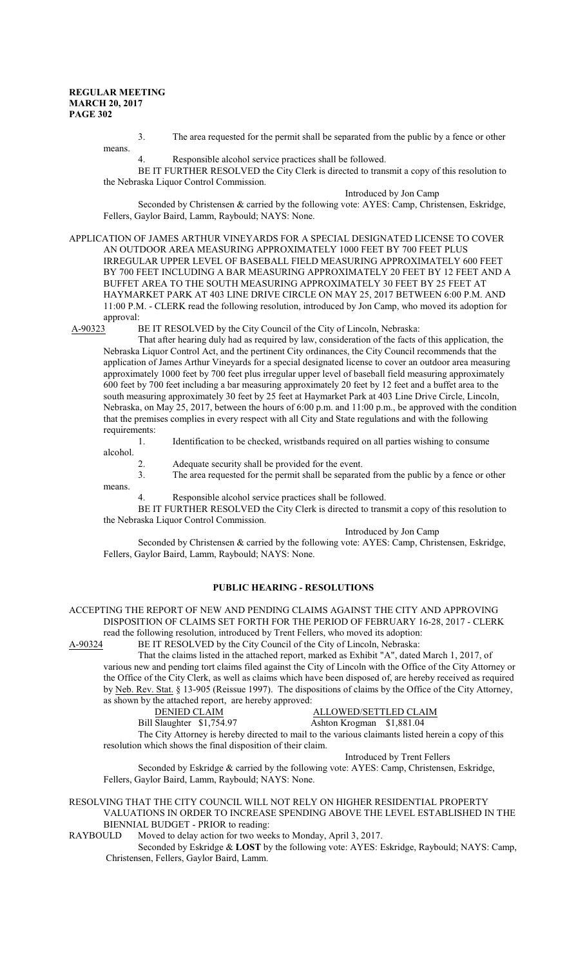means.

3. The area requested for the permit shall be separated from the public by a fence or other means.

4. Responsible alcohol service practices shall be followed.

BE IT FURTHER RESOLVED the City Clerk is directed to transmit a copy of this resolution to the Nebraska Liquor Control Commission.

Introduced by Jon Camp Seconded by Christensen & carried by the following vote: AYES: Camp, Christensen, Eskridge, Fellers, Gaylor Baird, Lamm, Raybould; NAYS: None.

APPLICATION OF JAMES ARTHUR VINEYARDS FOR A SPECIAL DESIGNATED LICENSE TO COVER AN OUTDOOR AREA MEASURING APPROXIMATELY 1000 FEET BY 700 FEET PLUS IRREGULAR UPPER LEVEL OF BASEBALL FIELD MEASURING APPROXIMATELY 600 FEET BY 700 FEET INCLUDING A BAR MEASURING APPROXIMATELY 20 FEET BY 12 FEET AND A BUFFET AREA TO THE SOUTH MEASURING APPROXIMATELY 30 FEET BY 25 FEET AT HAYMARKET PARK AT 403 LINE DRIVE CIRCLE ON MAY 25, 2017 BETWEEN 6:00 P.M. AND 11:00 P.M. - CLERK read the following resolution, introduced by Jon Camp, who moved its adoption for approval:<br>A-90323 I

BE IT RESOLVED by the City Council of the City of Lincoln, Nebraska:

That after hearing duly had as required by law, consideration of the facts of this application, the Nebraska Liquor Control Act, and the pertinent City ordinances, the City Council recommends that the application of James Arthur Vineyards for a special designated license to cover an outdoor area measuring approximately 1000 feet by 700 feet plus irregular upper level of baseball field measuring approximately 600 feet by 700 feet including a bar measuring approximately 20 feet by 12 feet and a buffet area to the south measuring approximately 30 feet by 25 feet at Haymarket Park at 403 Line Drive Circle, Lincoln, Nebraska, on May 25, 2017, between the hours of 6:00 p.m. and 11:00 p.m., be approved with the condition that the premises complies in every respect with all City and State regulations and with the following requirements:

1. Identification to be checked, wristbands required on all parties wishing to consume alcohol.

2. Adequate security shall be provided for the event.<br>3. The area requested for the permit shall be separate

The area requested for the permit shall be separated from the public by a fence or other

4. Responsible alcohol service practices shall be followed.

BE IT FURTHER RESOLVED the City Clerk is directed to transmit a copy of this resolution to the Nebraska Liquor Control Commission.

Introduced by Jon Camp

Seconded by Christensen & carried by the following vote: AYES: Camp, Christensen, Eskridge, Fellers, Gaylor Baird, Lamm, Raybould; NAYS: None.

# **PUBLIC HEARING - RESOLUTIONS**

# ACCEPTING THE REPORT OF NEW AND PENDING CLAIMS AGAINST THE CITY AND APPROVING DISPOSITION OF CLAIMS SET FORTH FOR THE PERIOD OF FEBRUARY 16-28, 2017 - CLERK

read the following resolution, introduced by Trent Fellers, who moved its adoption:<br>A-90324 BE IT RESOLVED by the City Council of the City of Lincoln, Nebraska: BE IT RESOLVED by the City Council of the City of Lincoln, Nebraska:

That the claims listed in the attached report, marked as Exhibit "A", dated March 1, 2017, of various new and pending tort claims filed against the City of Lincoln with the Office of the City Attorney or the Office of the City Clerk, as well as claims which have been disposed of, are hereby received as required by Neb. Rev. Stat. § 13-905 (Reissue 1997). The dispositions of claims by the Office of the City Attorney, as shown by the attached report, are hereby approved:

Bill Slaughter \$1,754.97 Ashton Krogman \$1,881.04

DENIED CLAIM ALLOWED/SETTLED CLAIM

The City Attorney is hereby directed to mail to the various claimants listed herein a copy of this resolution which shows the final disposition of their claim.

Introduced by Trent Fellers

Seconded by Eskridge & carried by the following vote: AYES: Camp, Christensen, Eskridge, Fellers, Gaylor Baird, Lamm, Raybould; NAYS: None.

#### RESOLVING THAT THE CITY COUNCIL WILL NOT RELY ON HIGHER RESIDENTIAL PROPERTY VALUATIONS IN ORDER TO INCREASE SPENDING ABOVE THE LEVEL ESTABLISHED IN THE BIENNIAL BUDGET - PRIOR to reading:

RAYBOULD Moved to delay action for two weeks to Monday, April 3, 2017.

Seconded by Eskridge & **LOST** by the following vote: AYES: Eskridge, Raybould; NAYS: Camp, Christensen, Fellers, Gaylor Baird, Lamm.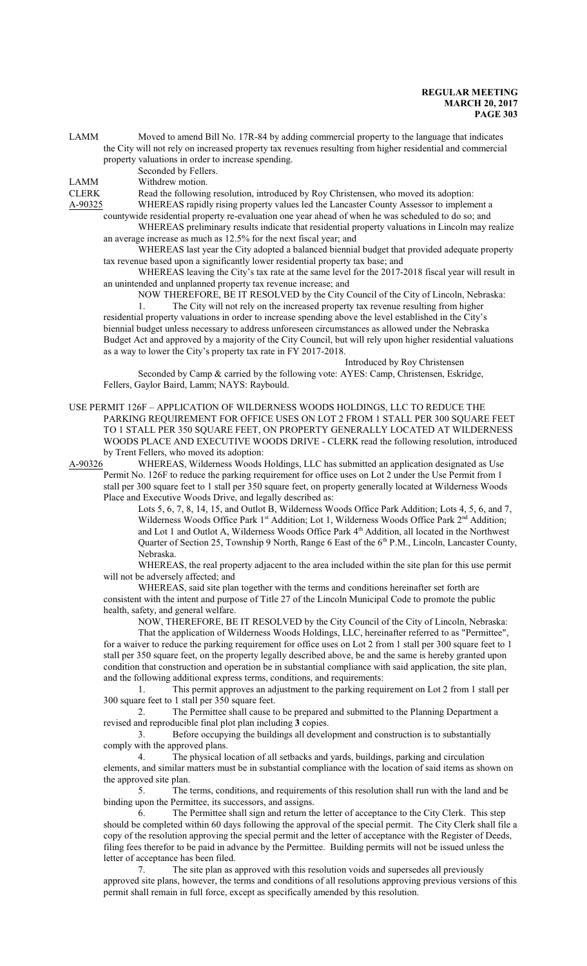LAMM Moved to amend Bill No. 17R-84 by adding commercial property to the language that indicates the City will not rely on increased property tax revenues resulting from higher residential and commercial property valuations in order to increase spending.

Seconded by Fellers. LAMM Withdrew motion.

CLERK Read the following resolution, introduced by Roy Christensen, who moved its adoption:

A-90325 WHEREAS rapidly rising property values led the Lancaster County Assessor to implement a countywide residential property re-evaluation one year ahead of when he was scheduled to do so; and

WHEREAS preliminary results indicate that residential property valuations in Lincoln may realize an average increase as much as 12.5% for the next fiscal year; and

WHEREAS last year the City adopted a balanced biennial budget that provided adequate property tax revenue based upon a significantly lower residential property tax base; and

WHEREAS leaving the City's tax rate at the same level for the 2017-2018 fiscal year will result in an unintended and unplanned property tax revenue increase; and

NOW THEREFORE, BE IT RESOLVED by the City Council of the City of Lincoln, Nebraska: 1. The City will not rely on the increased property tax revenue resulting from higher residential property valuations in order to increase spending above the level established in the City's biennial budget unless necessary to address unforeseen circumstances as allowed under the Nebraska Budget Act and approved by a majority of the City Council, but will rely upon higher residential valuations as a way to lower the City's property tax rate in FY 2017-2018.

Introduced by Roy Christensen

Seconded by Camp & carried by the following vote: AYES: Camp, Christensen, Eskridge, Fellers, Gaylor Baird, Lamm; NAYS: Raybould.

USE PERMIT 126F – APPLICATION OF WILDERNESS WOODS HOLDINGS, LLC TO REDUCE THE PARKING REQUIREMENT FOR OFFICE USES ON LOT 2 FROM 1 STALL PER 300 SQUARE FEET TO 1 STALL PER 350 SQUARE FEET, ON PROPERTY GENERALLY LOCATED AT WILDERNESS WOODS PLACE AND EXECUTIVE WOODS DRIVE - CLERK read the following resolution, introduced by Trent Fellers, who moved its adoption:

A-90326 WHEREAS, Wilderness Woods Holdings, LLC has submitted an application designated as Use Permit No. 126F to reduce the parking requirement for office uses on Lot 2 under the Use Permit from 1 stall per 300 square feet to 1 stall per 350 square feet, on property generally located at Wilderness Woods Place and Executive Woods Drive, and legally described as:

Lots 5, 6, 7, 8, 14, 15, and Outlot B, Wilderness Woods Office Park Addition; Lots 4, 5, 6, and 7, Wilderness Woods Office Park 1<sup>st</sup> Addition; Lot 1, Wilderness Woods Office Park 2<sup>nd</sup> Addition; and Lot 1 and Outlot A, Wilderness Woods Office Park 4<sup>th</sup> Addition, all located in the Northwest Quarter of Section 25, Township 9 North, Range 6 East of the 6<sup>th</sup> P.M., Lincoln, Lancaster County, Nebraska.

WHEREAS, the real property adjacent to the area included within the site plan for this use permit will not be adversely affected; and

WHEREAS, said site plan together with the terms and conditions hereinafter set forth are consistent with the intent and purpose of Title 27 of the Lincoln Municipal Code to promote the public health, safety, and general welfare.

NOW, THEREFORE, BE IT RESOLVED by the City Council of the City of Lincoln, Nebraska: That the application of Wilderness Woods Holdings, LLC, hereinafter referred to as "Permittee", for a waiver to reduce the parking requirement for office uses on Lot 2 from 1 stall per 300 square feet to 1 stall per 350 square feet, on the property legally described above, be and the same is hereby granted upon condition that construction and operation be in substantial compliance with said application, the site plan, and the following additional express terms, conditions, and requirements:

1. This permit approves an adjustment to the parking requirement on Lot 2 from 1 stall per 300 square feet to 1 stall per 350 square feet.

2. The Permittee shall cause to be prepared and submitted to the Planning Department a revised and reproducible final plot plan including **3** copies.

3. Before occupying the buildings all development and construction is to substantially comply with the approved plans.

4. The physical location of all setbacks and yards, buildings, parking and circulation elements, and similar matters must be in substantial compliance with the location of said items as shown on the approved site plan.

5. The terms, conditions, and requirements of this resolution shall run with the land and be binding upon the Permittee, its successors, and assigns.

6. The Permittee shall sign and return the letter of acceptance to the City Clerk. This step should be completed within 60 days following the approval of the special permit. The City Clerk shall file a copy of the resolution approving the special permit and the letter of acceptance with the Register of Deeds, filing fees therefor to be paid in advance by the Permittee. Building permits will not be issued unless the letter of acceptance has been filed.

7. The site plan as approved with this resolution voids and supersedes all previously approved site plans, however, the terms and conditions of all resolutions approving previous versions of this permit shall remain in full force, except as specifically amended by this resolution.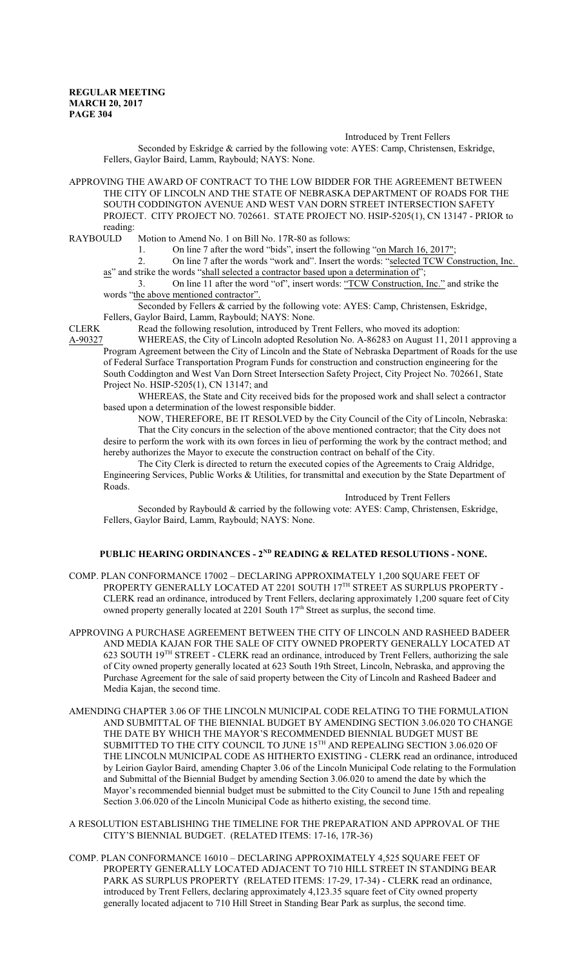Introduced by Trent Fellers

Seconded by Eskridge & carried by the following vote: AYES: Camp, Christensen, Eskridge, Fellers, Gaylor Baird, Lamm, Raybould; NAYS: None.

APPROVING THE AWARD OF CONTRACT TO THE LOW BIDDER FOR THE AGREEMENT BETWEEN THE CITY OF LINCOLN AND THE STATE OF NEBRASKA DEPARTMENT OF ROADS FOR THE SOUTH CODDINGTON AVENUE AND WEST VAN DORN STREET INTERSECTION SAFETY PROJECT. CITY PROJECT NO. 702661. STATE PROJECT NO. HSIP-5205(1), CN 13147 - PRIOR to reading:<br>RAYBOULD

Motion to Amend No. 1 on Bill No. 17R-80 as follows:

1. On line 7 after the word "bids", insert the following "on March 16, 2017";

2. On line 7 after the words "work and". Insert the words: "selected TCW Construction, Inc. as" and strike the words "shall selected a contractor based upon a determination of";

3. On line 11 after the word "of", insert words: "TCW Construction, Inc." and strike the words "the above mentioned contractor".

Seconded by Fellers & carried by the following vote: AYES: Camp, Christensen, Eskridge, Fellers, Gaylor Baird, Lamm, Raybould; NAYS: None.

CLERK Read the following resolution, introduced by Trent Fellers, who moved its adoption:<br>A-90327 WHEREAS, the City of Lincoln adopted Resolution No. A-86283 on August 11. 20 WHEREAS, the City of Lincoln adopted Resolution No. A-86283 on August 11, 2011 approving a Program Agreement between the City of Lincoln and the State of Nebraska Department of Roads for the use of Federal Surface Transportation Program Funds for construction and construction engineering for the South Coddington and West Van Dorn Street Intersection Safety Project, City Project No. 702661, State Project No. HSIP-5205(1), CN 13147; and

WHEREAS, the State and City received bids for the proposed work and shall select a contractor based upon a determination of the lowest responsible bidder.

NOW, THEREFORE, BE IT RESOLVED by the City Council of the City of Lincoln, Nebraska: That the City concurs in the selection of the above mentioned contractor; that the City does not desire to perform the work with its own forces in lieu of performing the work by the contract method; and hereby authorizes the Mayor to execute the construction contract on behalf of the City.

The City Clerk is directed to return the executed copies of the Agreements to Craig Aldridge, Engineering Services, Public Works & Utilities, for transmittal and execution by the State Department of Roads.

Introduced by Trent Fellers Seconded by Raybould & carried by the following vote: AYES: Camp, Christensen, Eskridge, Fellers, Gaylor Baird, Lamm, Raybould; NAYS: None.

# **PUBLIC HEARING ORDINANCES - 2ND READING & RELATED RESOLUTIONS - NONE.**

- COMP. PLAN CONFORMANCE 17002 DECLARING APPROXIMATELY 1,200 SQUARE FEET OF PROPERTY GENERALLY LOCATED AT 2201 SOUTH 17<sup>th</sup> STREET AS SURPLUS PROPERTY -CLERK read an ordinance, introduced by Trent Fellers, declaring approximately 1,200 square feet of City owned property generally located at 2201 South 17<sup>th</sup> Street as surplus, the second time.
- APPROVING A PURCHASE AGREEMENT BETWEEN THE CITY OF LINCOLN AND RASHEED BADEER AND MEDIA KAJAN FOR THE SALE OF CITY OWNED PROPERTY GENERALLY LOCATED AT 623 SOUTH 19<sup>TH</sup> STREET - CLERK read an ordinance, introduced by Trent Fellers, authorizing the sale of City owned property generally located at 623 South 19th Street, Lincoln, Nebraska, and approving the Purchase Agreement for the sale of said property between the City of Lincoln and Rasheed Badeer and Media Kajan, the second time.
- AMENDING CHAPTER 3.06 OF THE LINCOLN MUNICIPAL CODE RELATING TO THE FORMULATION AND SUBMITTAL OF THE BIENNIAL BUDGET BY AMENDING SECTION 3.06.020 TO CHANGE THE DATE BY WHICH THE MAYOR'S RECOMMENDED BIENNIAL BUDGET MUST BE SUBMITTED TO THE CITY COUNCIL TO JUNE  $15^{\text{\tiny{TH}}}$  AND REPEALING SECTION 3.06.020 OF THE LINCOLN MUNICIPAL CODE AS HITHERTO EXISTING - CLERK read an ordinance, introduced by Leirion Gaylor Baird, amending Chapter 3.06 of the Lincoln Municipal Code relating to the Formulation and Submittal of the Biennial Budget by amending Section 3.06.020 to amend the date by which the Mayor's recommended biennial budget must be submitted to the City Council to June 15th and repealing Section 3.06.020 of the Lincoln Municipal Code as hitherto existing, the second time.
- A RESOLUTION ESTABLISHING THE TIMELINE FOR THE PREPARATION AND APPROVAL OF THE CITY'S BIENNIAL BUDGET. (RELATED ITEMS: 17-16, 17R-36)
- COMP. PLAN CONFORMANCE 16010 DECLARING APPROXIMATELY 4,525 SQUARE FEET OF PROPERTY GENERALLY LOCATED ADJACENT TO 710 HILL STREET IN STANDING BEAR PARK AS SURPLUS PROPERTY (RELATED ITEMS: 17-29, 17-34) - CLERK read an ordinance, introduced by Trent Fellers, declaring approximately 4,123.35 square feet of City owned property generally located adjacent to 710 Hill Street in Standing Bear Park as surplus, the second time.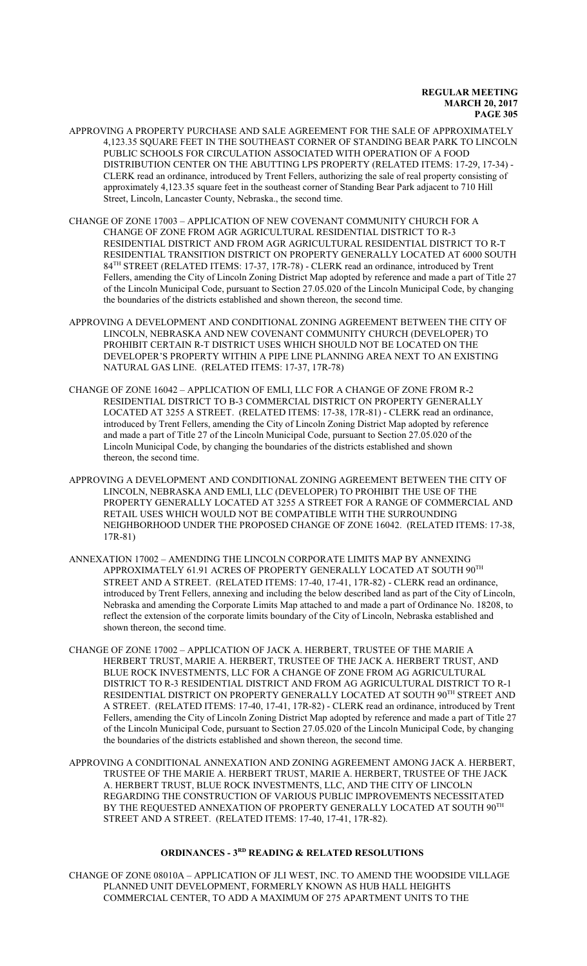- APPROVING A PROPERTY PURCHASE AND SALE AGREEMENT FOR THE SALE OF APPROXIMATELY 4,123.35 SQUARE FEET IN THE SOUTHEAST CORNER OF STANDING BEAR PARK TO LINCOLN PUBLIC SCHOOLS FOR CIRCULATION ASSOCIATED WITH OPERATION OF A FOOD DISTRIBUTION CENTER ON THE ABUTTING LPS PROPERTY (RELATED ITEMS: 17-29, 17-34) - CLERK read an ordinance, introduced by Trent Fellers, authorizing the sale of real property consisting of approximately 4,123.35 square feet in the southeast corner of Standing Bear Park adjacent to 710 Hill Street, Lincoln, Lancaster County, Nebraska., the second time.
- CHANGE OF ZONE 17003 APPLICATION OF NEW COVENANT COMMUNITY CHURCH FOR A CHANGE OF ZONE FROM AGR AGRICULTURAL RESIDENTIAL DISTRICT TO R-3 RESIDENTIAL DISTRICT AND FROM AGR AGRICULTURAL RESIDENTIAL DISTRICT TO R-T RESIDENTIAL TRANSITION DISTRICT ON PROPERTY GENERALLY LOCATED AT 6000 SOUTH 84 TH STREET (RELATED ITEMS: 17-37, 17R-78) - CLERK read an ordinance, introduced by Trent Fellers, amending the City of Lincoln Zoning District Map adopted by reference and made a part of Title 27 of the Lincoln Municipal Code, pursuant to Section 27.05.020 of the Lincoln Municipal Code, by changing the boundaries of the districts established and shown thereon, the second time.
- APPROVING A DEVELOPMENT AND CONDITIONAL ZONING AGREEMENT BETWEEN THE CITY OF LINCOLN, NEBRASKA AND NEW COVENANT COMMUNITY CHURCH (DEVELOPER) TO PROHIBIT CERTAIN R-T DISTRICT USES WHICH SHOULD NOT BE LOCATED ON THE DEVELOPER'S PROPERTY WITHIN A PIPE LINE PLANNING AREA NEXT TO AN EXISTING NATURAL GAS LINE. (RELATED ITEMS: 17-37, 17R-78)
- CHANGE OF ZONE 16042 APPLICATION OF EMLI, LLC FOR A CHANGE OF ZONE FROM R-2 RESIDENTIAL DISTRICT TO B-3 COMMERCIAL DISTRICT ON PROPERTY GENERALLY LOCATED AT 3255 A STREET. (RELATED ITEMS: 17-38, 17R-81) - CLERK read an ordinance, introduced by Trent Fellers, amending the City of Lincoln Zoning District Map adopted by reference and made a part of Title 27 of the Lincoln Municipal Code, pursuant to Section 27.05.020 of the Lincoln Municipal Code, by changing the boundaries of the districts established and shown thereon, the second time.
- APPROVING A DEVELOPMENT AND CONDITIONAL ZONING AGREEMENT BETWEEN THE CITY OF LINCOLN, NEBRASKA AND EMLI, LLC (DEVELOPER) TO PROHIBIT THE USE OF THE PROPERTY GENERALLY LOCATED AT 3255 A STREET FOR A RANGE OF COMMERCIAL AND RETAIL USES WHICH WOULD NOT BE COMPATIBLE WITH THE SURROUNDING NEIGHBORHOOD UNDER THE PROPOSED CHANGE OF ZONE 16042. (RELATED ITEMS: 17-38, 17R-81)
- ANNEXATION 17002 AMENDING THE LINCOLN CORPORATE LIMITS MAP BY ANNEXING APPROXIMATELY 61.91 ACRES OF PROPERTY GENERALLY LOCATED AT SOUTH  $90^{\mathrm{TH}}$ STREET AND A STREET. (RELATED ITEMS: 17-40, 17-41, 17R-82) - CLERK read an ordinance, introduced by Trent Fellers, annexing and including the below described land as part of the City of Lincoln, Nebraska and amending the Corporate Limits Map attached to and made a part of Ordinance No. 18208, to reflect the extension of the corporate limits boundary of the City of Lincoln, Nebraska established and shown thereon, the second time.
- CHANGE OF ZONE 17002 APPLICATION OF JACK A. HERBERT, TRUSTEE OF THE MARIE A HERBERT TRUST, MARIE A. HERBERT, TRUSTEE OF THE JACK A. HERBERT TRUST, AND BLUE ROCK INVESTMENTS, LLC FOR A CHANGE OF ZONE FROM AG AGRICULTURAL DISTRICT TO R-3 RESIDENTIAL DISTRICT AND FROM AG AGRICULTURAL DISTRICT TO R-1 RESIDENTIAL DISTRICT ON PROPERTY GENERALLY LOCATED AT SOUTH 90<sup>th</sup> STREET AND A STREET. (RELATED ITEMS: 17-40, 17-41, 17R-82) - CLERK read an ordinance, introduced by Trent Fellers, amending the City of Lincoln Zoning District Map adopted by reference and made a part of Title 27 of the Lincoln Municipal Code, pursuant to Section 27.05.020 of the Lincoln Municipal Code, by changing the boundaries of the districts established and shown thereon, the second time.
- APPROVING A CONDITIONAL ANNEXATION AND ZONING AGREEMENT AMONG JACK A. HERBERT, TRUSTEE OF THE MARIE A. HERBERT TRUST, MARIE A. HERBERT, TRUSTEE OF THE JACK A. HERBERT TRUST, BLUE ROCK INVESTMENTS, LLC, AND THE CITY OF LINCOLN REGARDING THE CONSTRUCTION OF VARIOUS PUBLIC IMPROVEMENTS NECESSITATED BY THE REQUESTED ANNEXATION OF PROPERTY GENERALLY LOCATED AT SOUTH  $90^{\mathrm{TH}}$ STREET AND A STREET. (RELATED ITEMS: 17-40, 17-41, 17R-82).

## **ORDINANCES - 3RD READING & RELATED RESOLUTIONS**

CHANGE OF ZONE 08010A – APPLICATION OF JLI WEST, INC. TO AMEND THE WOODSIDE VILLAGE PLANNED UNIT DEVELOPMENT, FORMERLY KNOWN AS HUB HALL HEIGHTS COMMERCIAL CENTER, TO ADD A MAXIMUM OF 275 APARTMENT UNITS TO THE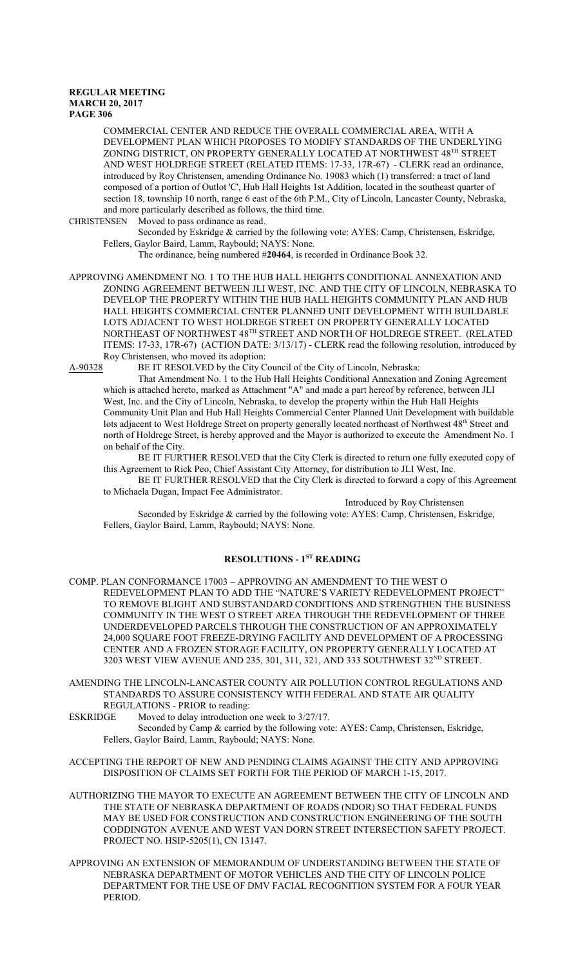COMMERCIAL CENTER AND REDUCE THE OVERALL COMMERCIAL AREA, WITH A DEVELOPMENT PLAN WHICH PROPOSES TO MODIFY STANDARDS OF THE UNDERLYING ZONING DISTRICT, ON PROPERTY GENERALLY LOCATED AT NORTHWEST 48 $^{\text{\tiny{\text{TH}}} }$  STREET AND WEST HOLDREGE STREET (RELATED ITEMS: 17-33, 17R-67) - CLERK read an ordinance, introduced by Roy Christensen, amending Ordinance No. 19083 which (1) transferred: a tract of land composed of a portion of Outlot 'C', Hub Hall Heights 1st Addition, located in the southeast quarter of section 18, township 10 north, range 6 east of the 6th P.M., City of Lincoln, Lancaster County, Nebraska, and more particularly described as follows, the third time.

CHRISTENSEN Moved to pass ordinance as read.

Seconded by Eskridge & carried by the following vote: AYES: Camp, Christensen, Eskridge, Fellers, Gaylor Baird, Lamm, Raybould; NAYS: None.

The ordinance, being numbered #**20464**, is recorded in Ordinance Book 32.

APPROVING AMENDMENT NO. 1 TO THE HUB HALL HEIGHTS CONDITIONAL ANNEXATION AND ZONING AGREEMENT BETWEEN JLI WEST, INC. AND THE CITY OF LINCOLN, NEBRASKA TO DEVELOP THE PROPERTY WITHIN THE HUB HALL HEIGHTS COMMUNITY PLAN AND HUB HALL HEIGHTS COMMERCIAL CENTER PLANNED UNIT DEVELOPMENT WITH BUILDABLE LOTS ADJACENT TO WEST HOLDREGE STREET ON PROPERTY GENERALLY LOCATED NORTHEAST OF NORTHWEST  $48^\mathrm{TH}$  STREET AND NORTH OF HOLDREGE STREET. (RELATED ITEMS: 17-33, 17R-67) (ACTION DATE: 3/13/17) - CLERK read the following resolution, introduced by Roy Christensen, who moved its adoption:

A-90328 BE IT RESOLVED by the City Council of the City of Lincoln, Nebraska:

That Amendment No. 1 to the Hub Hall Heights Conditional Annexation and Zoning Agreement which is attached hereto, marked as Attachment "A" and made a part hereof by reference, between JLI West, Inc. and the City of Lincoln, Nebraska, to develop the property within the Hub Hall Heights Community Unit Plan and Hub Hall Heights Commercial Center Planned Unit Development with buildable lots adjacent to West Holdrege Street on property generally located northeast of Northwest 48<sup>th</sup> Street and north of Holdrege Street, is hereby approved and the Mayor is authorized to execute the Amendment No. 1 on behalf of the City.

BE IT FURTHER RESOLVED that the City Clerk is directed to return one fully executed copy of this Agreement to Rick Peo, Chief Assistant City Attorney, for distribution to JLI West, Inc.

BE IT FURTHER RESOLVED that the City Clerk is directed to forward a copy of this Agreement to Michaela Dugan, Impact Fee Administrator.

Introduced by Roy Christensen

Seconded by Eskridge & carried by the following vote: AYES: Camp, Christensen, Eskridge, Fellers, Gaylor Baird, Lamm, Raybould; NAYS: None.

# **RESOLUTIONS - 1ST READING**

COMP. PLAN CONFORMANCE 17003 – APPROVING AN AMENDMENT TO THE WEST O REDEVELOPMENT PLAN TO ADD THE "NATURE'S VARIETY REDEVELOPMENT PROJECT" TO REMOVE BLIGHT AND SUBSTANDARD CONDITIONS AND STRENGTHEN THE BUSINESS COMMUNITY IN THE WEST O STREET AREA THROUGH THE REDEVELOPMENT OF THREE UNDERDEVELOPED PARCELS THROUGH THE CONSTRUCTION OF AN APPROXIMATELY 24,000 SQUARE FOOT FREEZE-DRYING FACILITY AND DEVELOPMENT OF A PROCESSING CENTER AND A FROZEN STORAGE FACILITY, ON PROPERTY GENERALLY LOCATED AT 3203 WEST VIEW AVENUE AND 235, 301, 311, 321, AND 333 SOUTHWEST  $32^{\text{ND}}$  STREET.

AMENDING THE LINCOLN-LANCASTER COUNTY AIR POLLUTION CONTROL REGULATIONS AND STANDARDS TO ASSURE CONSISTENCY WITH FEDERAL AND STATE AIR QUALITY REGULATIONS - PRIOR to reading:

ESKRIDGE Moved to delay introduction one week to  $3/27/17$ .

- Seconded by Camp & carried by the following vote: AYES: Camp, Christensen, Eskridge, Fellers, Gaylor Baird, Lamm, Raybould; NAYS: None.
- ACCEPTING THE REPORT OF NEW AND PENDING CLAIMS AGAINST THE CITY AND APPROVING DISPOSITION OF CLAIMS SET FORTH FOR THE PERIOD OF MARCH 1-15, 2017.
- AUTHORIZING THE MAYOR TO EXECUTE AN AGREEMENT BETWEEN THE CITY OF LINCOLN AND THE STATE OF NEBRASKA DEPARTMENT OF ROADS (NDOR) SO THAT FEDERAL FUNDS MAY BE USED FOR CONSTRUCTION AND CONSTRUCTION ENGINEERING OF THE SOUTH CODDINGTON AVENUE AND WEST VAN DORN STREET INTERSECTION SAFETY PROJECT. PROJECT NO. HSIP-5205(1), CN 13147.
- APPROVING AN EXTENSION OF MEMORANDUM OF UNDERSTANDING BETWEEN THE STATE OF NEBRASKA DEPARTMENT OF MOTOR VEHICLES AND THE CITY OF LINCOLN POLICE DEPARTMENT FOR THE USE OF DMV FACIAL RECOGNITION SYSTEM FOR A FOUR YEAR PERIOD.